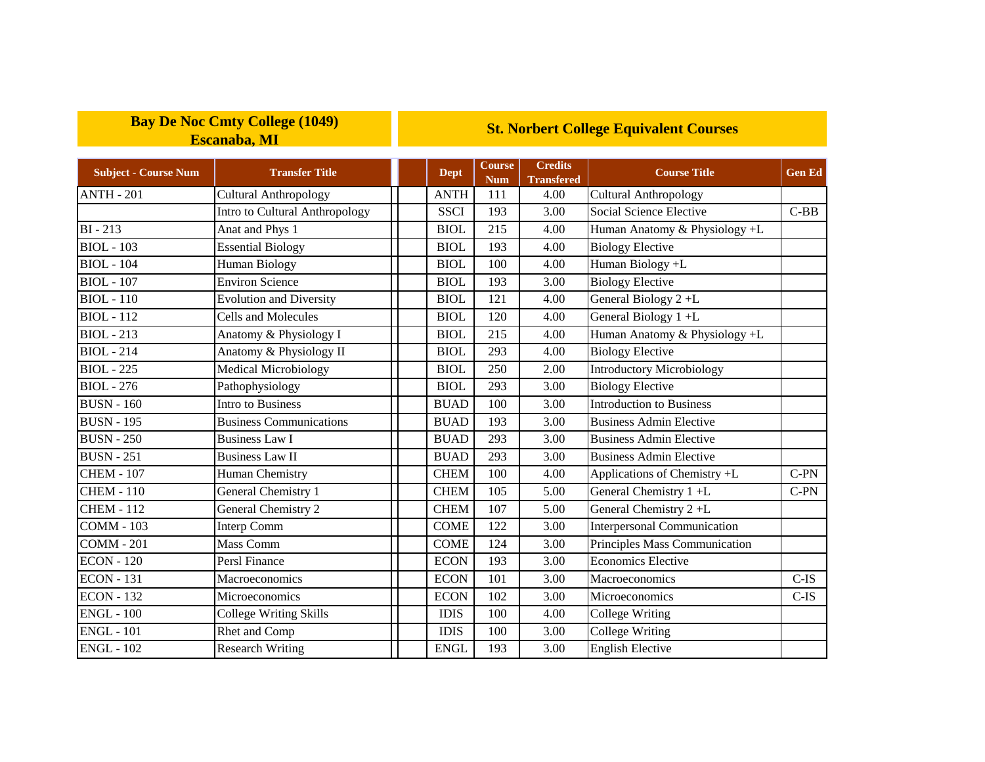## **Bay De Noc Cmty College (1049) Escanaba, MI**

## **St. Norbert College Equivalent Courses**

| <b>Subject - Course Num</b> | <b>Transfer Title</b>          | <b>Dept</b> | Course<br><b>Num</b> | <b>Credits</b><br><b>Transfered</b> | <b>Course Title</b>                | <b>Gen Ed</b> |
|-----------------------------|--------------------------------|-------------|----------------------|-------------------------------------|------------------------------------|---------------|
| <b>ANTH - 201</b>           | <b>Cultural Anthropology</b>   | <b>ANTH</b> | 111                  | 4.00                                | <b>Cultural Anthropology</b>       |               |
|                             | Intro to Cultural Anthropology | <b>SSCI</b> | 193                  | 3.00                                | Social Science Elective            | $C-BB$        |
| $BI - 213$                  | Anat and Phys 1                | <b>BIOL</b> | 215                  | 4.00                                | Human Anatomy & Physiology +L      |               |
| <b>BIOL</b> - 103           | <b>Essential Biology</b>       | <b>BIOL</b> | 193                  | 4.00                                | <b>Biology Elective</b>            |               |
| $BIOL - 104$                | <b>Human Biology</b>           | <b>BIOL</b> | 100                  | 4.00                                | Human Biology +L                   |               |
| <b>BIOL</b> - 107           | <b>Environ Science</b>         | <b>BIOL</b> | 193                  | 3.00                                | <b>Biology Elective</b>            |               |
| <b>BIOL</b> - 110           | <b>Evolution and Diversity</b> | <b>BIOL</b> | 121                  | 4.00                                | General Biology 2+L                |               |
| <b>BIOL</b> - 112           | <b>Cells and Molecules</b>     | <b>BIOL</b> | 120                  | 4.00                                | General Biology 1+L                |               |
| <b>BIOL</b> - 213           | Anatomy & Physiology I         | <b>BIOL</b> | 215                  | 4.00                                | Human Anatomy & Physiology +L      |               |
| <b>BIOL</b> - 214           | Anatomy & Physiology II        | <b>BIOL</b> | 293                  | 4.00                                | <b>Biology Elective</b>            |               |
| <b>BIOL</b> - 225           | Medical Microbiology           | <b>BIOL</b> | 250                  | 2.00                                | <b>Introductory Microbiology</b>   |               |
| <b>BIOL</b> - 276           | Pathophysiology                | <b>BIOL</b> | 293                  | 3.00                                | <b>Biology Elective</b>            |               |
| <b>BUSN</b> - 160           | Intro to Business              | <b>BUAD</b> | 100                  | 3.00                                | <b>Introduction to Business</b>    |               |
| <b>BUSN - 195</b>           | <b>Business Communications</b> | <b>BUAD</b> | 193                  | 3.00                                | <b>Business Admin Elective</b>     |               |
| <b>BUSN - 250</b>           | <b>Business Law I</b>          | <b>BUAD</b> | 293                  | 3.00                                | <b>Business Admin Elective</b>     |               |
| <b>BUSN</b> - 251           | <b>Business Law II</b>         | <b>BUAD</b> | 293                  | 3.00                                | <b>Business Admin Elective</b>     |               |
| <b>CHEM - 107</b>           | Human Chemistry                | <b>CHEM</b> | 100                  | 4.00                                | Applications of Chemistry +L       | $C-PN$        |
| <b>CHEM - 110</b>           | General Chemistry 1            | <b>CHEM</b> | 105                  | 5.00                                | General Chemistry 1+L              | $C-PN$        |
| <b>CHEM - 112</b>           | General Chemistry 2            | <b>CHEM</b> | 107                  | 5.00                                | General Chemistry 2+L              |               |
| <b>COMM - 103</b>           | Interp Comm                    | <b>COME</b> | 122                  | 3.00                                | <b>Interpersonal Communication</b> |               |
| <b>COMM - 201</b>           | Mass Comm                      | <b>COME</b> | 124                  | 3.00                                | Principles Mass Communication      |               |
| <b>ECON</b> - 120           | Persl Finance                  | <b>ECON</b> | 193                  | 3.00                                | <b>Economics Elective</b>          |               |
| <b>ECON</b> - 131           | Macroeconomics                 | <b>ECON</b> | 101                  | 3.00                                | Macroeconomics                     | $C$ -IS       |
| <b>ECON - 132</b>           | Microeconomics                 | <b>ECON</b> | 102                  | 3.00                                | Microeconomics                     | $C-IS$        |
| <b>ENGL - 100</b>           | <b>College Writing Skills</b>  | <b>IDIS</b> | 100                  | 4.00                                | College Writing                    |               |
| <b>ENGL - 101</b>           | Rhet and Comp                  | <b>IDIS</b> | 100                  | 3.00                                | College Writing                    |               |
| <b>ENGL - 102</b>           | <b>Research Writing</b>        | <b>ENGL</b> | 193                  | 3.00                                | <b>English Elective</b>            |               |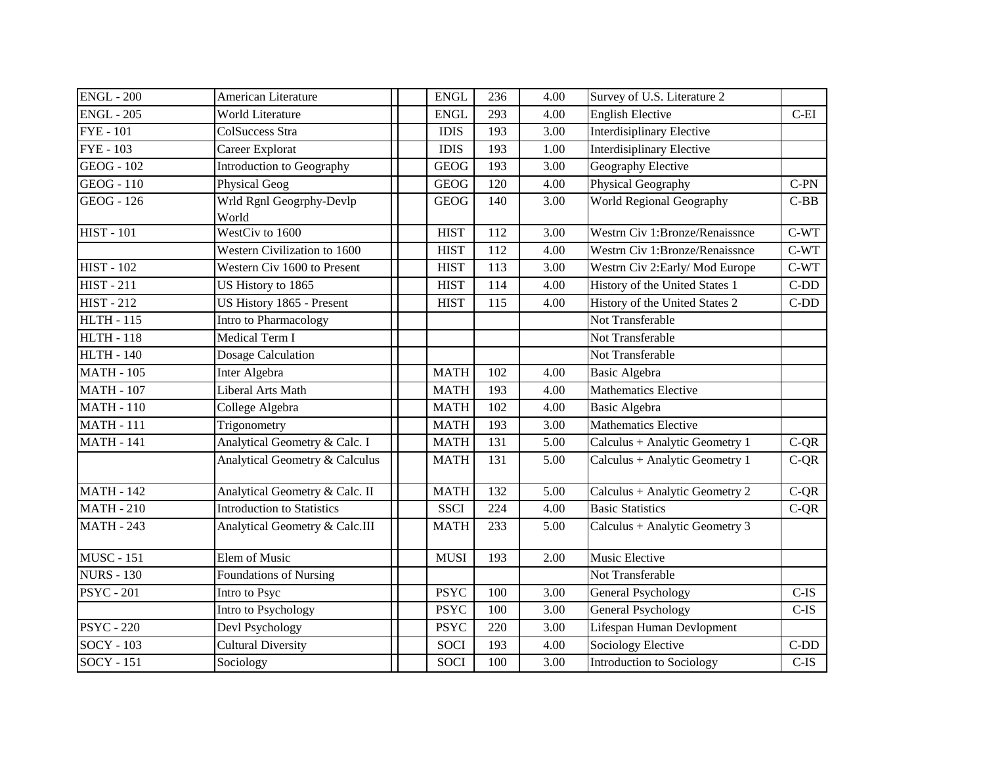| <b>ENGL - 200</b> | American Literature               | <b>ENGL</b> | 236 | 4.00 | Survey of U.S. Literature 2      |         |
|-------------------|-----------------------------------|-------------|-----|------|----------------------------------|---------|
| <b>ENGL - 205</b> | World Literature                  | <b>ENGL</b> | 293 | 4.00 | <b>English Elective</b>          | $C-EI$  |
| <b>FYE</b> - 101  | <b>ColSuccess Stra</b>            | <b>IDIS</b> | 193 | 3.00 | <b>Interdisiplinary Elective</b> |         |
| <b>FYE</b> - 103  | Career Explorat                   | <b>IDIS</b> | 193 | 1.00 | Interdisiplinary Elective        |         |
| <b>GEOG</b> - 102 | Introduction to Geography         | <b>GEOG</b> | 193 | 3.00 | Geography Elective               |         |
| $GEOG - 110$      | Physical Geog                     | <b>GEOG</b> | 120 | 4.00 | Physical Geography               | $C-PN$  |
| <b>GEOG</b> - 126 | Wrld Rgnl Geogrphy-Devlp<br>World | <b>GEOG</b> | 140 | 3.00 | World Regional Geography         | $C-BB$  |
| <b>HIST - 101</b> | WestCiv to 1600                   | <b>HIST</b> | 112 | 3.00 | Westrn Civ 1:Bronze/Renaissnce   | $C-WT$  |
|                   | Western Civilization to 1600      | <b>HIST</b> | 112 | 4.00 | Westrn Civ 1:Bronze/Renaissnce   | $C-WT$  |
| <b>HIST - 102</b> | Western Civ 1600 to Present       | <b>HIST</b> | 113 | 3.00 | Westrn Civ 2: Early/Mod Europe   | $C-WT$  |
| <b>HIST - 211</b> | US History to 1865                | <b>HIST</b> | 114 | 4.00 | History of the United States 1   | $C-DD$  |
| $HIST - 212$      | US History 1865 - Present         | <b>HIST</b> | 115 | 4.00 | History of the United States 2   | $C-DD$  |
| <b>HLTH - 115</b> | Intro to Pharmacology             |             |     |      | Not Transferable                 |         |
| <b>HLTH - 118</b> | Medical Term I                    |             |     |      | Not Transferable                 |         |
| <b>HLTH - 140</b> | Dosage Calculation                |             |     |      | Not Transferable                 |         |
| <b>MATH - 105</b> | Inter Algebra                     | <b>MATH</b> | 102 | 4.00 | <b>Basic Algebra</b>             |         |
| <b>MATH - 107</b> | Liberal Arts Math                 | <b>MATH</b> | 193 | 4.00 | <b>Mathematics Elective</b>      |         |
| <b>MATH - 110</b> | College Algebra                   | <b>MATH</b> | 102 | 4.00 | <b>Basic Algebra</b>             |         |
| <b>MATH - 111</b> | Trigonometry                      | <b>MATH</b> | 193 | 3.00 | <b>Mathematics Elective</b>      |         |
| <b>MATH - 141</b> | Analytical Geometry & Calc. I     | <b>MATH</b> | 131 | 5.00 | Calculus + Analytic Geometry 1   | $C-QR$  |
|                   | Analytical Geometry & Calculus    | <b>MATH</b> | 131 | 5.00 | Calculus + Analytic Geometry 1   | $C-QR$  |
| <b>MATH - 142</b> | Analytical Geometry & Calc. II    | <b>MATH</b> | 132 | 5.00 | Calculus + Analytic Geometry 2   | $C-QR$  |
| <b>MATH - 210</b> | <b>Introduction to Statistics</b> | <b>SSCI</b> | 224 | 4.00 | <b>Basic Statistics</b>          | $C-QR$  |
| <b>MATH - 243</b> | Analytical Geometry & Calc.III    | <b>MATH</b> | 233 | 5.00 | Calculus + Analytic Geometry 3   |         |
| <b>MUSC - 151</b> | Elem of Music                     | <b>MUSI</b> | 193 | 2.00 | Music Elective                   |         |
| <b>NURS - 130</b> | <b>Foundations of Nursing</b>     |             |     |      | Not Transferable                 |         |
| <b>PSYC</b> - 201 | Intro to Psyc                     | <b>PSYC</b> | 100 | 3.00 | <b>General Psychology</b>        | $C$ -IS |
|                   | Intro to Psychology               | <b>PSYC</b> | 100 | 3.00 | <b>General Psychology</b>        | $C-IS$  |
| <b>PSYC</b> - 220 | Devl Psychology                   | <b>PSYC</b> | 220 | 3.00 | Lifespan Human Devlopment        |         |
| $SOCY - 103$      | <b>Cultural Diversity</b>         | <b>SOCI</b> | 193 | 4.00 | <b>Sociology Elective</b>        | $C-DD$  |
| <b>SOCY - 151</b> | Sociology                         | <b>SOCI</b> | 100 | 3.00 | Introduction to Sociology        | $C$ -IS |